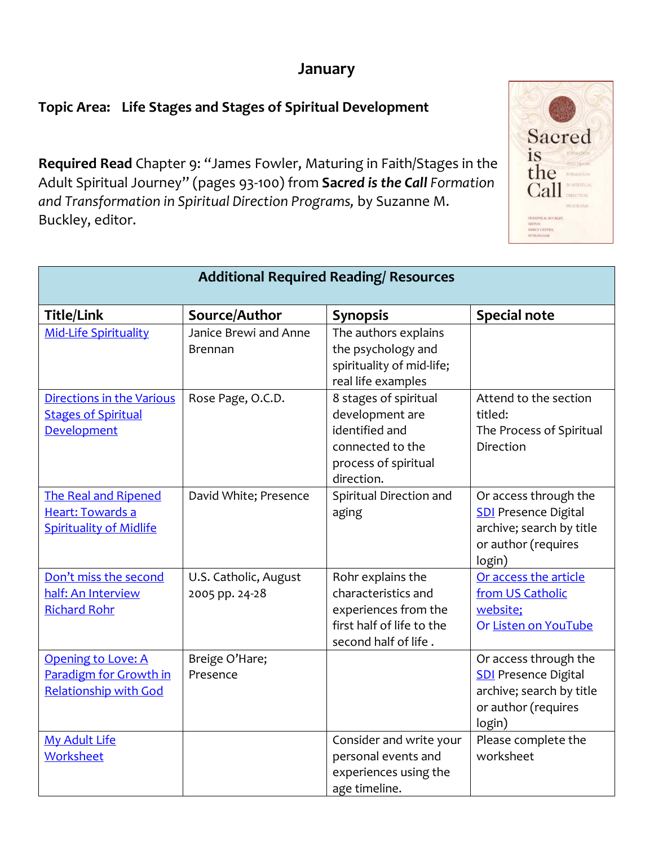## **January**

Sacred

is the Call

MERCY CE

## **Topic Area: Life Stages and Stages of Spiritual Development**

**Required Read** Chapter 9: "James Fowler, Maturing in Faith/Stages in the Adult Spiritual Journey" (pages 93-100) from **Sac***red is the Call Formation and Transformation in Spiritual Direction Programs,* by Suzanne M. Buckley, editor.

| <b>Additional Required Reading/ Resources</b>                                        |                                         |                                                                                                                       |                                                                                                                   |  |  |  |
|--------------------------------------------------------------------------------------|-----------------------------------------|-----------------------------------------------------------------------------------------------------------------------|-------------------------------------------------------------------------------------------------------------------|--|--|--|
| <b>Title/Link</b>                                                                    | Source/Author                           | <b>Synopsis</b>                                                                                                       | <b>Special note</b>                                                                                               |  |  |  |
| <b>Mid-Life Spirituality</b>                                                         | Janice Brewi and Anne<br><b>Brennan</b> | The authors explains<br>the psychology and<br>spirituality of mid-life;<br>real life examples                         |                                                                                                                   |  |  |  |
| <b>Directions in the Various</b><br><b>Stages of Spiritual</b><br><b>Development</b> | Rose Page, O.C.D.                       | 8 stages of spiritual<br>development are<br>identified and<br>connected to the<br>process of spiritual<br>direction.  | Attend to the section<br>titled:<br>The Process of Spiritual<br>Direction                                         |  |  |  |
| <b>The Real and Ripened</b><br>Heart: Towards a<br><b>Spirituality of Midlife</b>    | David White; Presence                   | Spiritual Direction and<br>aging                                                                                      | Or access through the<br><b>SDI</b> Presence Digital<br>archive; search by title<br>or author (requires<br>login) |  |  |  |
| Don't miss the second<br>half: An Interview<br><b>Richard Rohr</b>                   | U.S. Catholic, August<br>2005 pp. 24-28 | Rohr explains the<br>characteristics and<br>experiences from the<br>first half of life to the<br>second half of life. | Or access the article<br>from US Catholic<br>website;<br>Or Listen on YouTube                                     |  |  |  |
| <b>Opening to Love: A</b><br>Paradigm for Growth in<br><b>Relationship with God</b>  | Breige O'Hare;<br>Presence              |                                                                                                                       | Or access through the<br><b>SDI</b> Presence Digital<br>archive; search by title<br>or author (requires<br>login) |  |  |  |
| <b>My Adult Life</b><br>Worksheet                                                    |                                         | Consider and write your<br>personal events and<br>experiences using the<br>age timeline.                              | Please complete the<br>worksheet                                                                                  |  |  |  |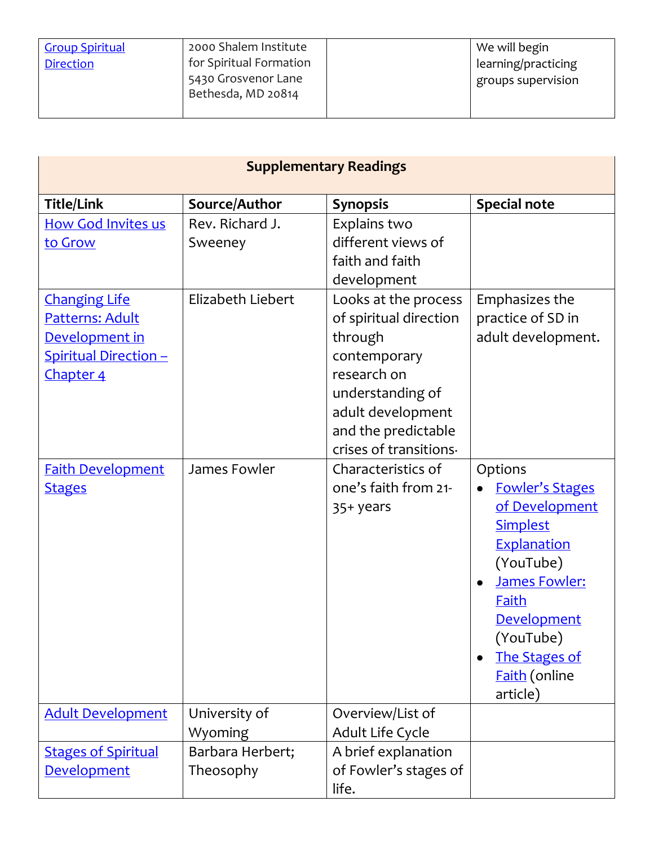| 2000 Shalem Institute<br>We will begin         |
|------------------------------------------------|
| for Spiritual Formation<br>learning/practicing |
| 5430 Grosvenor Lane<br>groups supervision      |
|                                                |
|                                                |

| <b>Supplementary Readings</b>                                                                                                                  |                                                 |                                                                                                                                                                                      |                                                                                                                                                                                                                      |  |  |
|------------------------------------------------------------------------------------------------------------------------------------------------|-------------------------------------------------|--------------------------------------------------------------------------------------------------------------------------------------------------------------------------------------|----------------------------------------------------------------------------------------------------------------------------------------------------------------------------------------------------------------------|--|--|
| <b>Title/Link</b>                                                                                                                              | Source/Author                                   | <b>Synopsis</b>                                                                                                                                                                      | <b>Special note</b>                                                                                                                                                                                                  |  |  |
| <b>How God Invites us</b><br>to Grow<br><b>Changing Life</b><br>Patterns: Adult<br>Development in<br><b>Spiritual Direction -</b><br>Chapter 4 | Rev. Richard J.<br>Sweeney<br>Elizabeth Liebert | Explains two<br>different views of<br>faith and faith<br>development<br>Looks at the process<br>of spiritual direction<br>through<br>contemporary<br>research on<br>understanding of | Emphasizes the<br>practice of SD in<br>adult development.                                                                                                                                                            |  |  |
|                                                                                                                                                |                                                 | adult development<br>and the predictable<br>crises of transitions.                                                                                                                   |                                                                                                                                                                                                                      |  |  |
| <b>Faith Development</b><br><b>Stages</b>                                                                                                      | James Fowler                                    | Characteristics of<br>one's faith from 21-<br>35+ years                                                                                                                              | Options<br><b>Fowler's Stages</b><br>of Development<br>Simplest<br>Explanation<br>(YouTube)<br><b>James Fowler:</b><br>Faith<br><b>Development</b><br>(YouTube)<br><b>The Stages of</b><br>Faith (online<br>article) |  |  |
| <b>Adult Development</b>                                                                                                                       | University of<br>Wyoming                        | Overview/List of<br>Adult Life Cycle                                                                                                                                                 |                                                                                                                                                                                                                      |  |  |
| <b>Stages of Spiritual</b><br><b>Development</b>                                                                                               | Barbara Herbert;<br>Theosophy                   | A brief explanation<br>of Fowler's stages of<br>life.                                                                                                                                |                                                                                                                                                                                                                      |  |  |